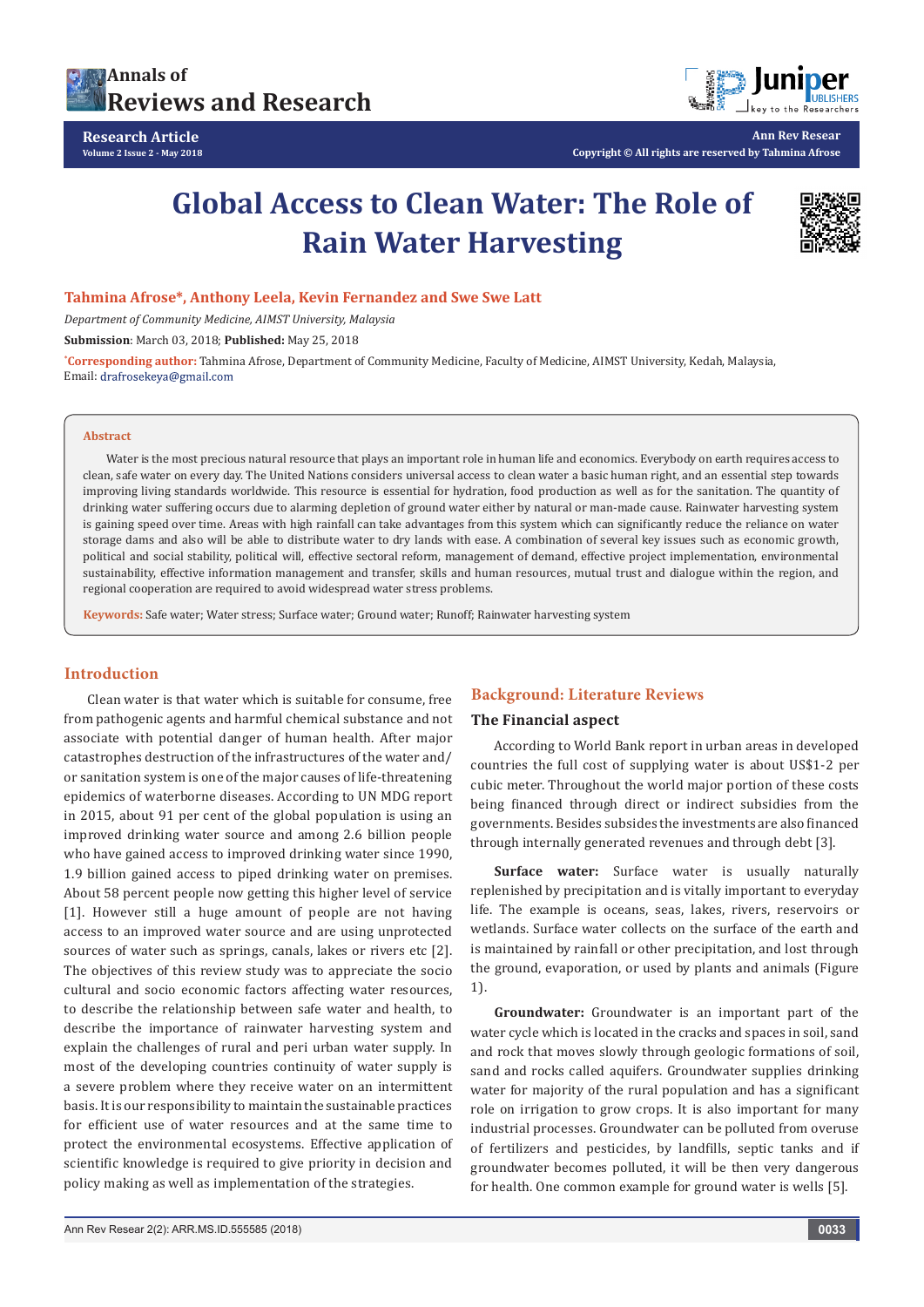



**Ann Rev Resear Copyright © All rights are reserved by Tahmina Afrose**

## **Global Access to Clean Water: The Role of Rain Water Harvesting**



#### **Tahmina Afrose\*, Anthony Leela, Kevin Fernandez and Swe Swe Latt**

*Department of Community Medicine, AIMST University, Malaysia*

**Submission**: March 03, 2018; **Published:** May 25, 2018

**\* Corresponding author:** Tahmina Afrose, Department of Community Medicine, Faculty of Medicine, AIMST University, Kedah, Malaysia, Email: drafrosekeya@gmail.com

#### **Abstract**

Water is the most precious natural resource that plays an important role in human life and economics. Everybody on earth requires access to clean, safe water on every day. The United Nations considers universal access to clean water a basic human right, and an essential step towards improving living standards worldwide. This resource is essential for hydration, food production as well as for the sanitation. The quantity of drinking water suffering occurs due to alarming depletion of ground water either by natural or man-made cause. Rainwater harvesting system is gaining speed over time. Areas with high rainfall can take advantages from this system which can significantly reduce the reliance on water storage dams and also will be able to distribute water to dry lands with ease. A combination of several key issues such as economic growth, political and social stability, political will, effective sectoral reform, management of demand, effective project implementation, environmental sustainability, effective information management and transfer, skills and human resources, mutual trust and dialogue within the region, and regional cooperation are required to avoid widespread water stress problems.

**Keywords:** Safe water; Water stress; Surface water; Ground water; Runoff; Rainwater harvesting system

#### **Introduction**

Clean water is that water which is suitable for consume, free from pathogenic agents and harmful chemical substance and not associate with potential danger of human health. After major catastrophes destruction of the infrastructures of the water and/ or sanitation system is one of the major causes of life-threatening epidemics of waterborne diseases. According to UN MDG report in 2015, about 91 per cent of the global population is using an improved drinking water source and among 2.6 billion people who have gained access to improved drinking water since 1990, 1.9 billion gained access to piped drinking water on premises. About 58 percent people now getting this higher level of service [1]. However still a huge amount of people are not having access to an improved water source and are using unprotected sources of water such as springs, canals, lakes or rivers etc [2]. The objectives of this review study was to appreciate the socio cultural and socio economic factors affecting water resources, to describe the relationship between safe water and health, to describe the importance of rainwater harvesting system and explain the challenges of rural and peri urban water supply. In most of the developing countries continuity of water supply is a severe problem where they receive water on an intermittent basis. It is our responsibility to maintain the sustainable practices for efficient use of water resources and at the same time to protect the environmental ecosystems. Effective application of scientific knowledge is required to give priority in decision and policy making as well as implementation of the strategies.

#### **Background: Literature Reviews**

#### **The Financial aspect**

According to World Bank report in urban areas in developed countries the full cost of supplying water is about US\$1-2 per cubic meter. Throughout the world major portion of these costs being financed through direct or indirect subsidies from the governments. Besides subsides the investments are also financed through internally generated revenues and through debt [3].

**Surface water:** Surface water is usually naturally replenished by precipitation and is vitally important to everyday life. The example is oceans, seas, lakes, rivers, reservoirs or wetlands. Surface water collects on the surface of the earth and is maintained by rainfall or other precipitation, and lost through the ground, evaporation, or used by plants and animals (Figure 1).

**Groundwater:** Groundwater is an important part of the water cycle which is located in the cracks and spaces in soil, sand and rock that moves slowly through geologic formations of soil, sand and rocks called aquifers. Groundwater supplies drinking water for majority of the rural population and has a significant role on irrigation to grow crops. It is also important for many industrial processes. Groundwater can be polluted from overuse of fertilizers and pesticides, by landfills, septic tanks and if groundwater becomes polluted, it will be then very dangerous for health. One common example for ground water is wells [5].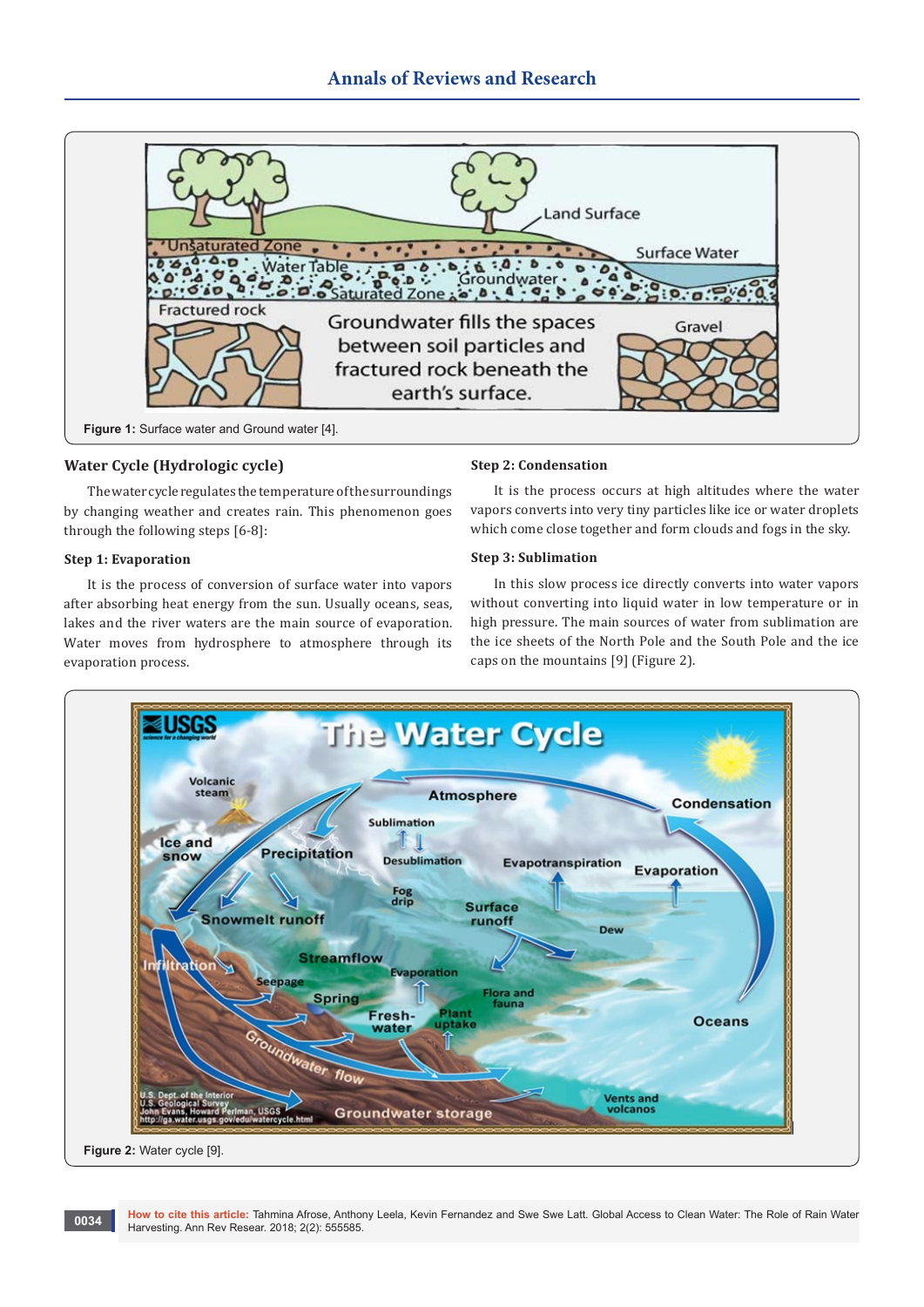

#### **Water Cycle (Hydrologic cycle)**

The water cycle regulates the temperature of the surroundings by changing weather and creates rain. This phenomenon goes through the following steps [6-8]:

#### **Step 1: Evaporation**

It is the process of conversion of surface water into vapors after absorbing heat energy from the sun. Usually oceans, seas, lakes and the river waters are the main source of evaporation. Water moves from hydrosphere to atmosphere through its evaporation process.

#### **Step 2: Condensation**

It is the process occurs at high altitudes where the water vapors converts into very tiny particles like ice or water droplets which come close together and form clouds and fogs in the sky.

#### **Step 3: Sublimation**

In this slow process ice directly converts into water vapors without converting into liquid water in low temperature or in high pressure. The main sources of water from sublimation are the ice sheets of the North Pole and the South Pole and the ice caps on the mountains [9] (Figure 2).



**How to cite this article:** Tahmina Afrose, Anthony Leela, Kevin Fernandez and Swe Swe Latt. Global Access to Clean Water: The Role of Rain Water **0034** How to cite this article: Iahmina Afrose, Anthony<br>Harvesting. Ann Rev Resear. 2018; 2(2): 555585.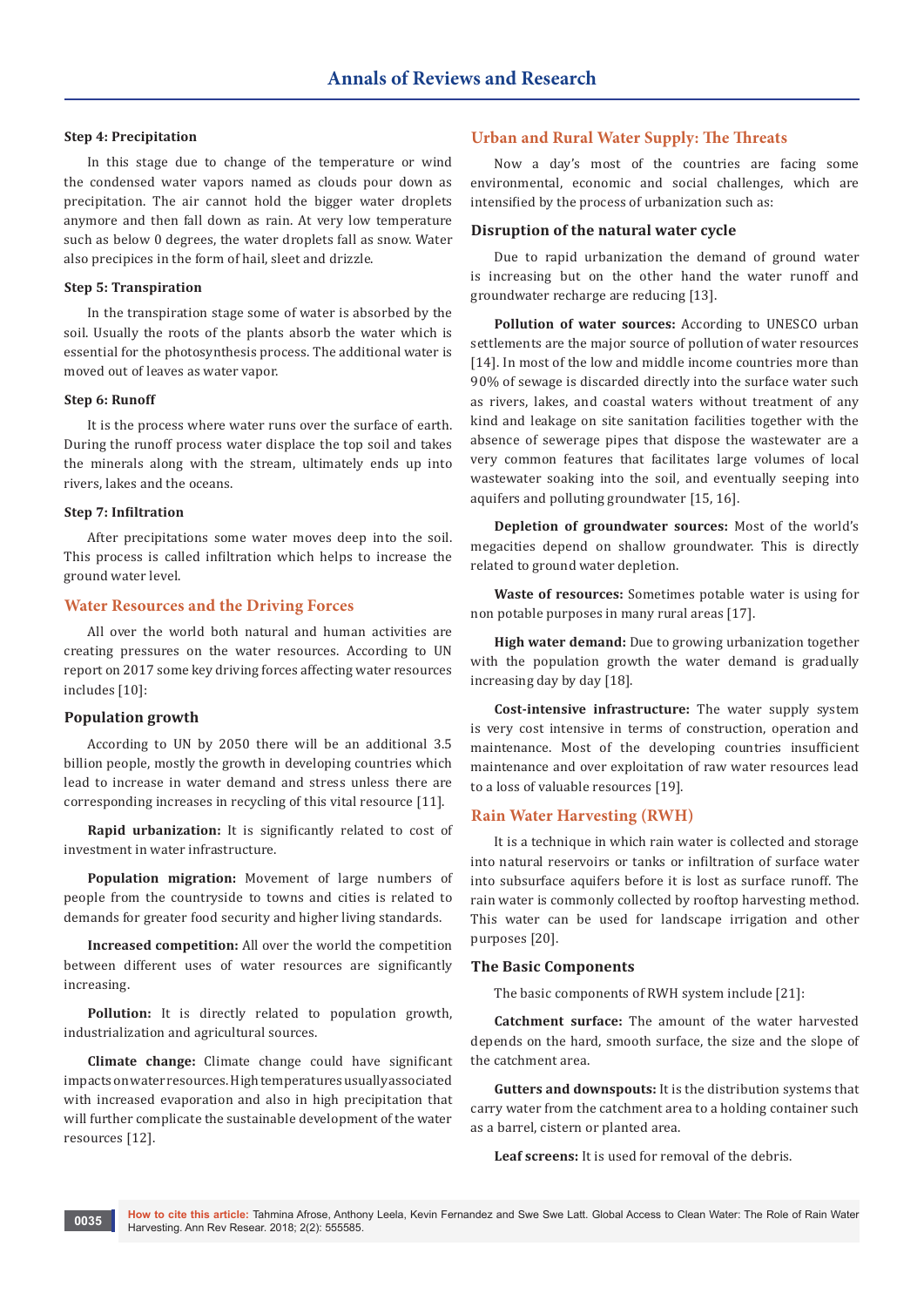#### **Step 4: Precipitation**

In this stage due to change of the temperature or wind the condensed water vapors named as clouds pour down as precipitation. The air cannot hold the bigger water droplets anymore and then fall down as rain. At very low temperature such as below 0 degrees, the water droplets fall as snow. Water also precipices in the form of hail, sleet and drizzle.

#### **Step 5: Transpiration**

In the transpiration stage some of water is absorbed by the soil. Usually the roots of the plants absorb the water which is essential for the photosynthesis process. The additional water is moved out of leaves as water vapor.

#### **Step 6: Runoff**

It is the process where water runs over the surface of earth. During the runoff process water displace the top soil and takes the minerals along with the stream, ultimately ends up into rivers, lakes and the oceans.

#### **Step 7: Infiltration**

After precipitations some water moves deep into the soil. This process is called infiltration which helps to increase the ground water level.

#### **Water Resources and the Driving Forces**

All over the world both natural and human activities are creating pressures on the water resources. According to UN report on 2017 some key driving forces affecting water resources includes [10]:

#### **Population growth**

According to UN by 2050 there will be an additional 3.5 billion people, mostly the growth in developing countries which lead to increase in water demand and stress unless there are corresponding increases in recycling of this vital resource [11].

**Rapid urbanization:** It is significantly related to cost of investment in water infrastructure.

**Population migration:** Movement of large numbers of people from the countryside to towns and cities is related to demands for greater food security and higher living standards.

**Increased competition:** All over the world the competition between different uses of water resources are significantly increasing.

**Pollution:** It is directly related to population growth, industrialization and agricultural sources.

**Climate change:** Climate change could have significant impacts on water resources. High temperatures usually associated with increased evaporation and also in high precipitation that will further complicate the sustainable development of the water resources [12].

#### **Urban and Rural Water Supply: The Threats**

Now a day's most of the countries are facing some environmental, economic and social challenges, which are intensified by the process of urbanization such as:

#### **Disruption of the natural water cycle**

Due to rapid urbanization the demand of ground water is increasing but on the other hand the water runoff and groundwater recharge are reducing [13].

**Pollution of water sources:** According to UNESCO urban settlements are the major source of pollution of water resources [14]. In most of the low and middle income countries more than 90% of sewage is discarded directly into the surface water such as rivers, lakes, and coastal waters without treatment of any kind and leakage on site sanitation facilities together with the absence of sewerage pipes that dispose the wastewater are a very common features that facilitates large volumes of local wastewater soaking into the soil, and eventually seeping into aquifers and polluting groundwater [15, 16].

**Depletion of groundwater sources:** Most of the world's megacities depend on shallow groundwater. This is directly related to ground water depletion.

**Waste of resources:** Sometimes potable water is using for non potable purposes in many rural areas [17].

**High water demand:** Due to growing urbanization together with the population growth the water demand is gradually increasing day by day [18].

**Cost-intensive infrastructure:** The water supply system is very cost intensive in terms of construction, operation and maintenance. Most of the developing countries insufficient maintenance and over exploitation of raw water resources lead to a loss of valuable resources [19].

#### **Rain Water Harvesting (RWH)**

It is a technique in which rain water is collected and storage into natural reservoirs or tanks or infiltration of surface water into subsurface aquifers before it is lost as surface runoff. The rain water is commonly collected by rooftop harvesting method. This water can be used for landscape irrigation and other purposes [20].

#### **The Basic Components**

The basic components of RWH system include [21]:

**Catchment surface:** The amount of the water harvested depends on the hard, smooth surface, the size and the slope of the catchment area.

**Gutters and downspouts:** It is the distribution systems that carry water from the catchment area to a holding container such as a barrel, cistern or planted area.

**Leaf screens:** It is used for removal of the debris.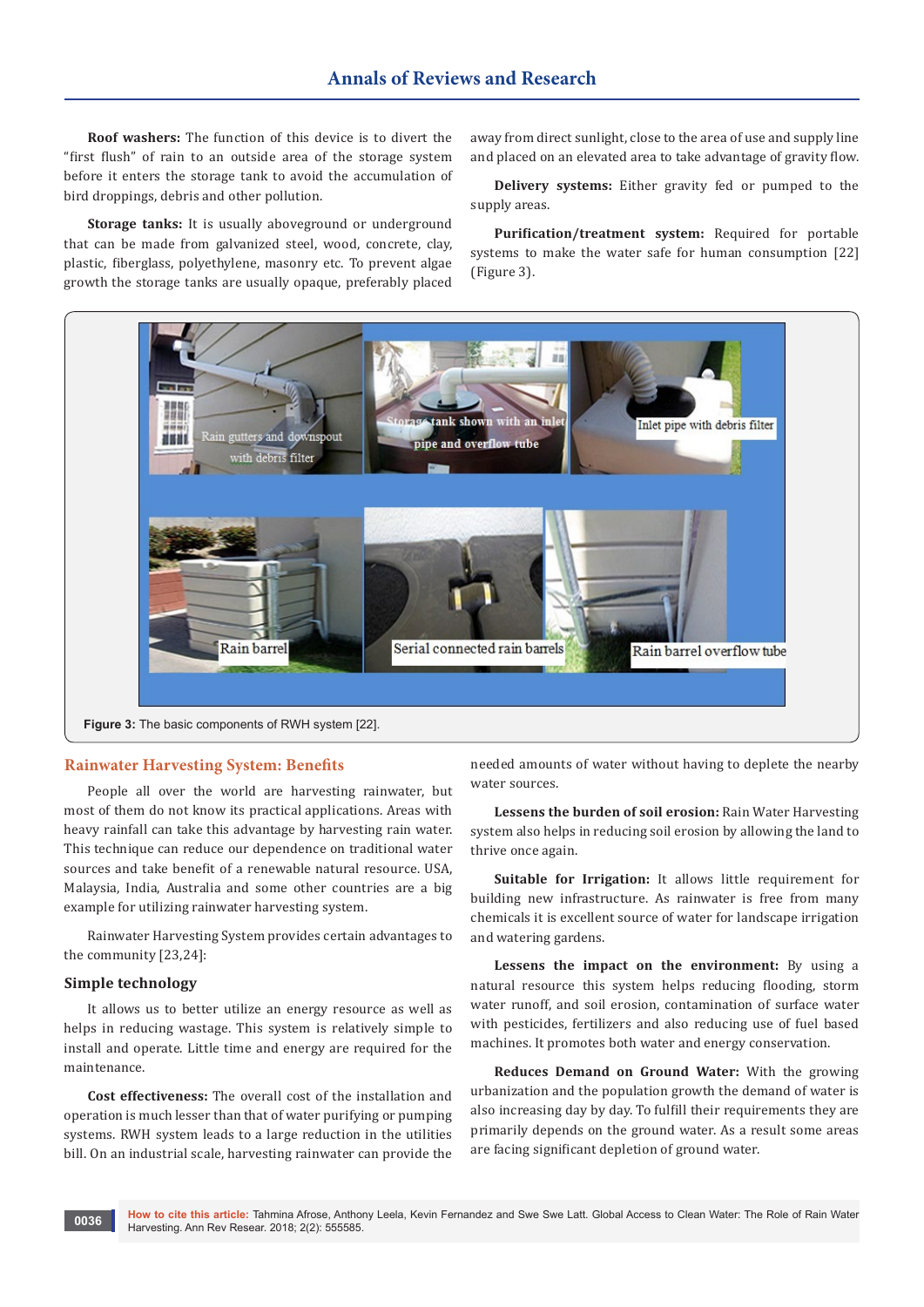**Roof washers:** The function of this device is to divert the "first flush" of rain to an outside area of the storage system before it enters the storage tank to avoid the accumulation of bird droppings, debris and other pollution.

**Storage tanks:** It is usually aboveground or underground that can be made from galvanized steel, wood, concrete, clay, plastic, fiberglass, polyethylene, masonry etc. To prevent algae growth the storage tanks are usually opaque, preferably placed

away from direct sunlight, close to the area of use and supply line and placed on an elevated area to take advantage of gravity flow.

**Delivery systems:** Either gravity fed or pumped to the supply areas.

**Purification/treatment system:** Required for portable systems to make the water safe for human consumption [22] (Figure 3).

needed amounts of water without having to deplete the nearby water sources.

**Lessens the burden of soil erosion:** Rain Water Harvesting system also helps in reducing soil erosion by allowing the land to thrive once again.

**Suitable for Irrigation:** It allows little requirement for building new infrastructure. As rainwater is free from many chemicals it is excellent source of water for landscape irrigation and watering gardens.

**Lessens the impact on the environment:** By using a natural resource this system helps reducing flooding, storm water runoff, and soil erosion, contamination of surface water with pesticides, fertilizers and also reducing use of fuel based machines. It promotes both water and energy conservation.

**Reduces Demand on Ground Water:** With the growing urbanization and the population growth the demand of water is also increasing day by day. To fulfill their requirements they are primarily depends on the ground water. As a result some areas are facing significant depletion of ground water.

### **Rainwater Harvesting System: Benefits**

People all over the world are harvesting rainwater, but most of them do not know its practical applications. Areas with heavy rainfall can take this advantage by harvesting rain water. This technique can reduce our dependence on traditional water sources and take benefit of a renewable natural resource. USA, Malaysia, India, Australia and some other countries are a big example for utilizing rainwater harvesting system.

Rainwater Harvesting System provides certain advantages to the community [23,24]:

#### **Simple technology**

It allows us to better utilize an energy resource as well as helps in reducing wastage. This system is relatively simple to install and operate. Little time and energy are required for the maintenance.

**Cost effectiveness:** The overall cost of the installation and operation is much lesser than that of water purifying or pumping systems. RWH system leads to a large reduction in the utilities bill. On an industrial scale, harvesting rainwater can provide the

# Rain barrel Serial connected rain barrels **Figure 3:** The basic components of RWH system [22].

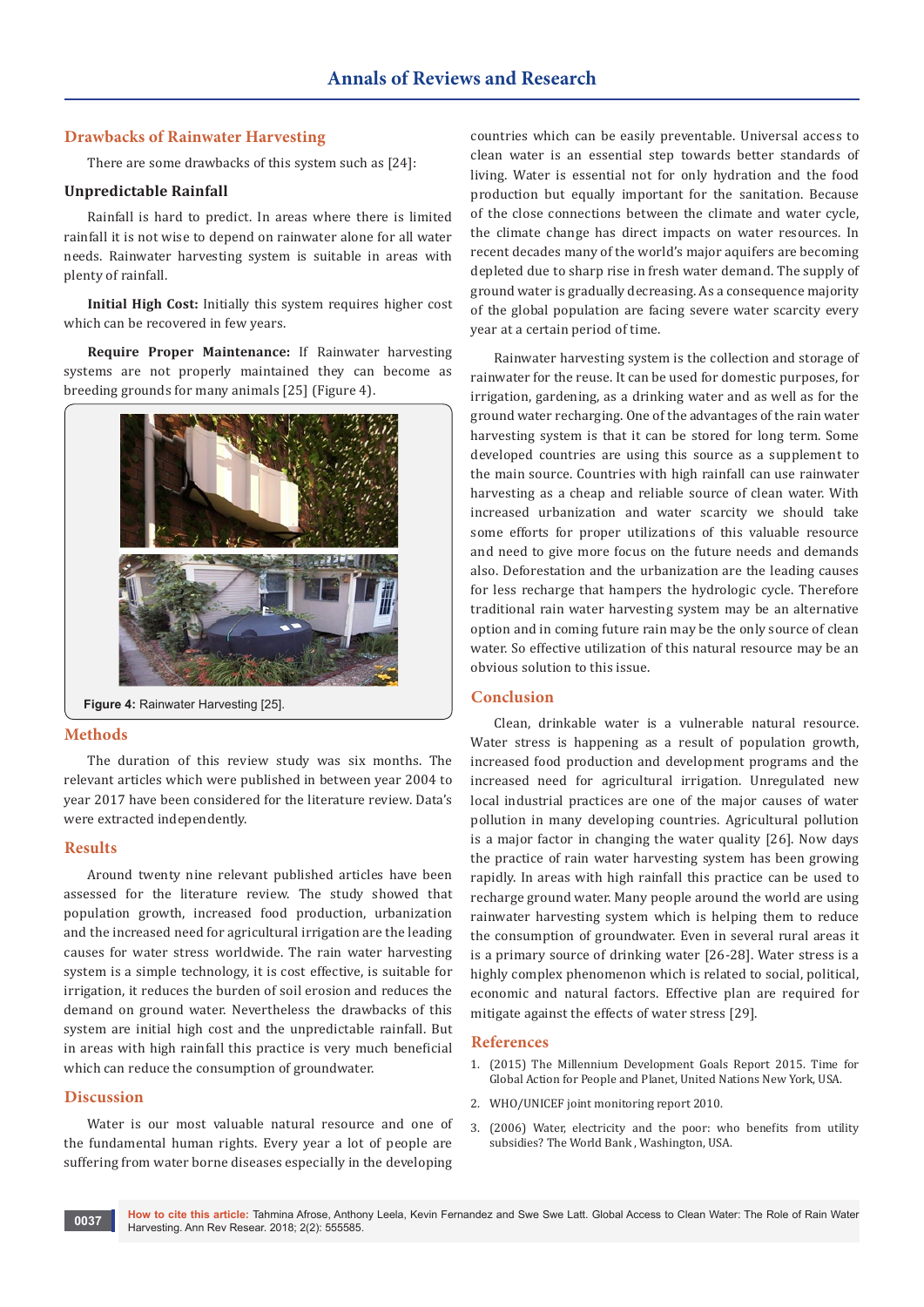#### **Drawbacks of Rainwater Harvesting**

There are some drawbacks of this system such as [24]:

#### **Unpredictable Rainfall**

Rainfall is hard to predict. In areas where there is limited rainfall it is not wise to depend on rainwater alone for all water needs. Rainwater harvesting system is suitable in areas with plenty of rainfall.

**Initial High Cost:** Initially this system requires higher cost which can be recovered in few years.

**Require Proper Maintenance:** If Rainwater harvesting systems are not properly maintained they can become as breeding grounds for many animals [25] (Figure 4).



**Figure 4:** Rainwater Harvesting [25].

#### **Methods**

The duration of this review study was six months. The relevant articles which were published in between year 2004 to year 2017 have been considered for the literature review. Data's were extracted independently.

#### **Results**

Around twenty nine relevant published articles have been assessed for the literature review. The study showed that population growth, increased food production, urbanization and the increased need for agricultural irrigation are the leading causes for water stress worldwide. The rain water harvesting system is a simple technology, it is cost effective, is suitable for irrigation, it reduces the burden of soil erosion and reduces the demand on ground water. Nevertheless the drawbacks of this system are initial high cost and the unpredictable rainfall. But in areas with high rainfall this practice is very much beneficial which can reduce the consumption of groundwater.

#### **Discussion**

Water is our most valuable natural resource and one of the fundamental human rights. Every year a lot of people are suffering from water borne diseases especially in the developing

countries which can be easily preventable. Universal access to clean water is an essential step towards better standards of living. Water is essential not for only hydration and the food production but equally important for the sanitation. Because of the close connections between the climate and water cycle, the climate change has direct impacts on water resources. In recent decades many of the world's major aquifers are becoming depleted due to sharp rise in fresh water demand. The supply of ground water is gradually decreasing. As a consequence majority of the global population are facing severe water scarcity every year at a certain period of time.

Rainwater harvesting system is the collection and storage of rainwater for the reuse. It can be used for domestic purposes, for irrigation, gardening, as a drinking water and as well as for the ground water recharging. One of the advantages of the rain water harvesting system is that it can be stored for long term. Some developed countries are using this source as a supplement to the main source. Countries with high rainfall can use rainwater harvesting as a cheap and reliable source of clean water. With increased urbanization and water scarcity we should take some efforts for proper utilizations of this valuable resource and need to give more focus on the future needs and demands also. Deforestation and the urbanization are the leading causes for less recharge that hampers the hydrologic cycle. Therefore traditional rain water harvesting system may be an alternative option and in coming future rain may be the only source of clean water. So effective utilization of this natural resource may be an obvious solution to this issue.

#### **Conclusion**

Clean, drinkable water is a vulnerable natural resource. Water stress is happening as a result of population growth, increased food production and development programs and the increased need for agricultural irrigation. Unregulated new local industrial practices are one of the major causes of water pollution in many developing countries. Agricultural pollution is a major factor in changing the water quality [26]. Now days the practice of rain water harvesting system has been growing rapidly. In areas with high rainfall this practice can be used to recharge ground water. Many people around the world are using rainwater harvesting system which is helping them to reduce the consumption of groundwater. Even in several rural areas it is a primary source of drinking water [26-28]. Water stress is a highly complex phenomenon which is related to social, political, economic and natural factors. Effective plan are required for mitigate against the effects of water stress [29].

#### **References**

- 1. [\(2015\) The Millennium Development Goals Report 2015. Time for](http://www.un.org/millenniumgoals/2015_MDG_Report/pdf/MDG%202015%20rev%20(July%201).pdf)  [Global Action for People and Planet, United Nations New York, USA.](http://www.un.org/millenniumgoals/2015_MDG_Report/pdf/MDG%202015%20rev%20(July%201).pdf)
- 2. [WHO/UNICEF joint monitoring report 2010.](http://www.who.int/water_sanitation_health/monitoring/fast_facts/en/)
- 3. [\(2006\) Water, electricity and the poor: who benefits from utility](https://openknowledge.worldbank.org/handle/10986/6361?locale-attribute=es)  [subsidies? The World Bank , Washington, USA.](https://openknowledge.worldbank.org/handle/10986/6361?locale-attribute=es)